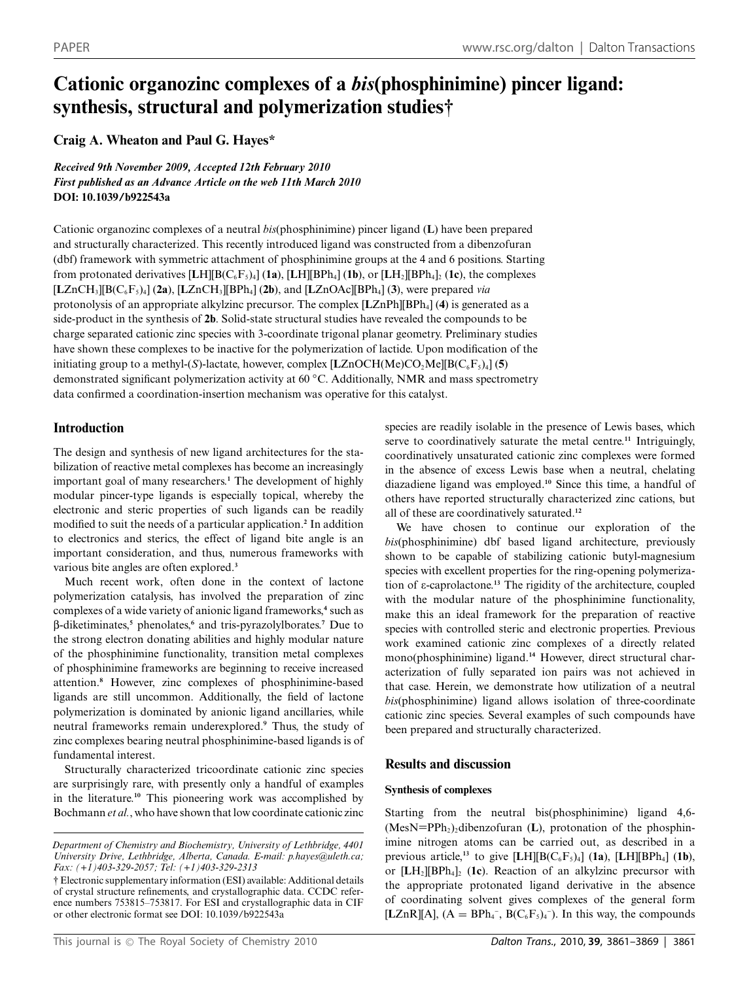# **Cationic organozinc complexes of a** *bis***(phosphinimine) pincer ligand: synthesis, structural and polymerization studies†**

# **Craig A. Wheaton and Paul G. Hayes\***

*Received 9th November 2009, Accepted 12th February 2010 First published as an Advance Article on the web 11th March 2010* **DOI: 10.1039/b922543a**

Cationic organozinc complexes of a neutral *bis*(phosphinimine) pincer ligand (**L**) have been prepared and structurally characterized. This recently introduced ligand was constructed from a dibenzofuran (dbf) framework with symmetric attachment of phosphinimine groups at the 4 and 6 positions. Starting from protonated derivatives  $[\text{LH}][\text{B}(C_6F_5)_4]$  (**1a**),  $[\text{LH}][\text{BPh}_4]$  (**1b**), or  $[\text{LH}_2][\text{BPh}_4]_2$  (**1c**), the complexes  $[LZnCH_3][BC_6F_5)_4]$  (2a),  $[LZnCH_3][BPh_4]$  (2b), and  $[LZnOAc][BPh_4]$  (3), were prepared *via* protonolysis of an appropriate alkylzinc precursor. The complex [**L**ZnPh][BPh4] (**4**) is generated as a side-product in the synthesis of **2b**. Solid-state structural studies have revealed the compounds to be charge separated cationic zinc species with 3-coordinate trigonal planar geometry. Preliminary studies have shown these complexes to be inactive for the polymerization of lactide. Upon modification of the initiating group to a methyl- $(S)$ -lactate, however, complex  $[LZnOCHMe]CO<sub>2</sub>Me][B(C<sub>6</sub>F<sub>5</sub>)<sub>4</sub>] (5)$ demonstrated significant polymerization activity at 60 *◦*C. Additionally, NMR and mass spectrometry data confirmed a coordination-insertion mechanism was operative for this catalyst.

# **Introduction**

The design and synthesis of new ligand architectures for the stabilization of reactive metal complexes has become an increasingly important goal of many researchers.**<sup>1</sup>** The development of highly modular pincer-type ligands is especially topical, whereby the electronic and steric properties of such ligands can be readily modified to suit the needs of a particular application.**<sup>2</sup>** In addition to electronics and sterics, the effect of ligand bite angle is an important consideration, and thus, numerous frameworks with various bite angles are often explored.**<sup>3</sup>**

Much recent work, often done in the context of lactone polymerization catalysis, has involved the preparation of zinc complexes of a wide variety of anionic ligand frameworks,**<sup>4</sup>** such as b-diketiminates,**<sup>5</sup>** phenolates,**<sup>6</sup>** and tris-pyrazolylborates.**<sup>7</sup>** Due to the strong electron donating abilities and highly modular nature of the phosphinimine functionality, transition metal complexes of phosphinimine frameworks are beginning to receive increased attention.**<sup>8</sup>** However, zinc complexes of phosphinimine-based ligands are still uncommon. Additionally, the field of lactone polymerization is dominated by anionic ligand ancillaries, while neutral frameworks remain underexplored.**<sup>9</sup>** Thus, the study of zinc complexes bearing neutral phosphinimine-based ligands is of fundamental interest.

Structurally characterized tricoordinate cationic zinc species are surprisingly rare, with presently only a handful of examples in the literature.**<sup>10</sup>** This pioneering work was accomplished by Bochmann *et al.*, who have shown that low coordinate cationic zinc species are readily isolable in the presence of Lewis bases, which serve to coordinatively saturate the metal centre.**<sup>11</sup>** Intriguingly, coordinatively unsaturated cationic zinc complexes were formed in the absence of excess Lewis base when a neutral, chelating diazadiene ligand was employed.**<sup>10</sup>** Since this time, a handful of others have reported structurally characterized zinc cations, but all of these are coordinatively saturated.**<sup>12</sup>**

We have chosen to continue our exploration of the *bis*(phosphinimine) dbf based ligand architecture, previously shown to be capable of stabilizing cationic butyl-magnesium species with excellent properties for the ring-opening polymerization of e-caprolactone.**<sup>13</sup>** The rigidity of the architecture, coupled with the modular nature of the phosphinimine functionality, make this an ideal framework for the preparation of reactive species with controlled steric and electronic properties. Previous work examined cationic zinc complexes of a directly related mono(phosphinimine) ligand.**<sup>14</sup>** However, direct structural characterization of fully separated ion pairs was not achieved in that case. Herein, we demonstrate how utilization of a neutral *bis*(phosphinimine) ligand allows isolation of three-coordinate cationic zinc species. Several examples of such compounds have been prepared and structurally characterized.

# **Results and discussion**

### **Synthesis of complexes**

Starting from the neutral bis(phosphinimine) ligand 4,6-  $(MesN=PPh<sub>2</sub>)<sub>2</sub> dibenzofuran (L)$ , protonation of the phosphinimine nitrogen atoms can be carried out, as described in a previous article,<sup>13</sup> to give [LH][B( $C_6F_5$ )<sub>4</sub>] (**1a**), [LH][BPh<sub>4</sub>] (**1b**), or  $[LH_2][BPh_4]_2$  (1c). Reaction of an alkylzinc precursor with the appropriate protonated ligand derivative in the absence of coordinating solvent gives complexes of the general form [LZnR][A],  $(A = BPh_4^-$ ,  $B(C_6F_5)_4^-$ . In this way, the compounds

*Department of Chemistry and Biochemistry, University of Lethbridge, 4401 University Drive, Lethbridge, Alberta, Canada. E-mail: p.hayes@uleth.ca; Fax: (+1)403-329-2057; Tel: (+1)403-329-2313*

<sup>†</sup> Electronic supplementary information (ESI) available: Additional details of crystal structure refinements, and crystallographic data. CCDC reference numbers 753815–753817. For ESI and crystallographic data in CIF or other electronic format see DOI: 10.1039/b922543a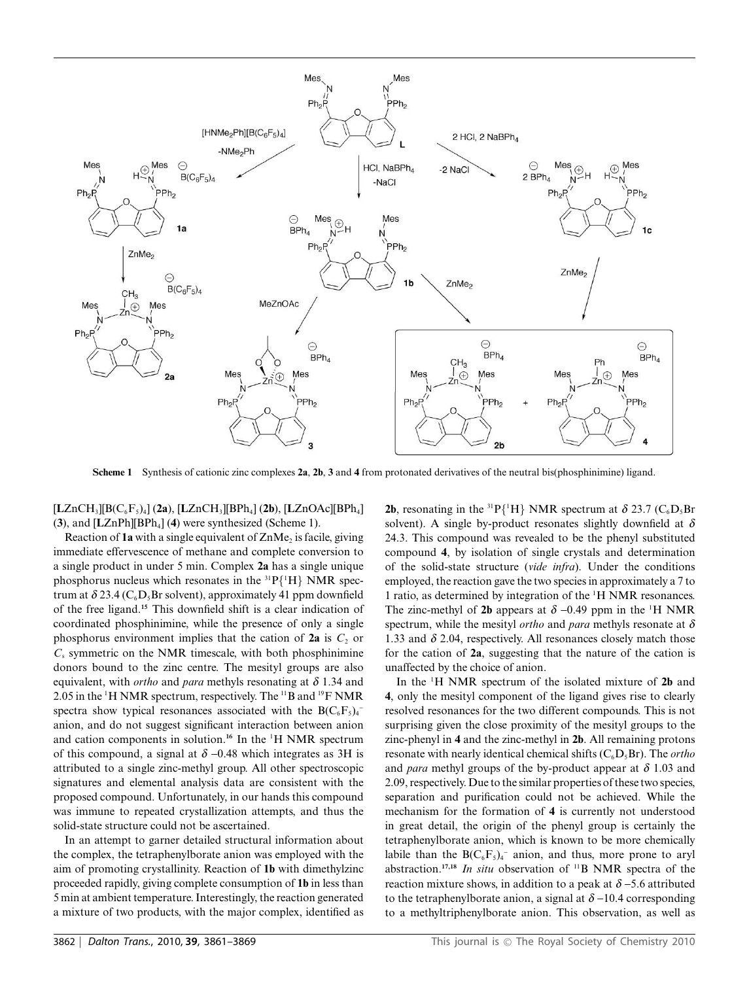

**Scheme 1** Synthesis of cationic zinc complexes **2a**, **2b**, **3** and **4** from protonated derivatives of the neutral bis(phosphinimine) ligand.

[**L**ZnCH3][B(C6F5)4] (**2a**), [**L**ZnCH3][BPh4] (**2b**), [**L**ZnOAc][BPh4] (**3**), and [**L**ZnPh][BPh4] (**4**) were synthesized (Scheme 1).

Reaction of **1a** with a single equivalent of ZnMe<sub>2</sub> is facile, giving immediate effervescence of methane and complete conversion to a single product in under 5 min. Complex **2a** has a single unique phosphorus nucleus which resonates in the  ${}^{31}P{^1H}$  NMR spectrum at  $\delta$  23.4 (C<sub>6</sub>D<sub>5</sub>Br solvent), approximately 41 ppm downfield of the free ligand.**<sup>15</sup>** This downfield shift is a clear indication of coordinated phosphinimine, while the presence of only a single phosphorus environment implies that the cation of  $2a$  is  $C_2$  or  $C_s$  symmetric on the NMR timescale, with both phosphinimine donors bound to the zinc centre. The mesityl groups are also equivalent, with *ortho* and *para* methyls resonating at *d* 1.34 and 2.05 in the  $\rm{^1H}$  NMR spectrum, respectively. The  $\rm{^{11}B}$  and  $\rm{^{19}F}$  NMR spectra show typical resonances associated with the  $B(C_6F_5)_4$ anion, and do not suggest significant interaction between anion and cation components in solution.<sup>16</sup> In the <sup>1</sup>H NMR spectrum of this compound, a signal at  $\delta$  -0.48 which integrates as 3H is attributed to a single zinc-methyl group. All other spectroscopic signatures and elemental analysis data are consistent with the proposed compound. Unfortunately, in our hands this compound was immune to repeated crystallization attempts, and thus the solid-state structure could not be ascertained.

In an attempt to garner detailed structural information about the complex, the tetraphenylborate anion was employed with the aim of promoting crystallinity. Reaction of **1b** with dimethylzinc proceeded rapidly, giving complete consumption of **1b** in less than 5 min at ambient temperature. Interestingly, the reaction generated a mixture of two products, with the major complex, identified as

**2b**, resonating in the <sup>31</sup>P{<sup>1</sup>H} NMR spectrum at  $\delta$  23.7 (C<sub>6</sub>D<sub>5</sub>Br solvent). A single by-product resonates slightly downfield at  $\delta$ 24.3. This compound was revealed to be the phenyl substituted compound **4**, by isolation of single crystals and determination of the solid-state structure (*vide infra*). Under the conditions employed, the reaction gave the two species in approximately a 7 to 1 ratio, as determined by integration of the <sup>1</sup> H NMR resonances. The zinc-methyl of 2b appears at  $\delta$  –0.49 ppm in the <sup>1</sup>H NMR spectrum, while the mesityl *ortho* and *para* methyls resonate at *d* 1.33 and  $\delta$  2.04, respectively. All resonances closely match those for the cation of **2a**, suggesting that the nature of the cation is unaffected by the choice of anion.

In the <sup>1</sup> H NMR spectrum of the isolated mixture of **2b** and **4**, only the mesityl component of the ligand gives rise to clearly resolved resonances for the two different compounds. This is not surprising given the close proximity of the mesityl groups to the zinc-phenyl in **4** and the zinc-methyl in **2b**. All remaining protons resonate with nearly identical chemical shifts (C<sub>6</sub>D<sub>5</sub>Br). The *ortho* and *para* methyl groups of the by-product appear at  $\delta$  1.03 and 2.09, respectively. Due to the similar properties of these two species, separation and purification could not be achieved. While the mechanism for the formation of **4** is currently not understood in great detail, the origin of the phenyl group is certainly the tetraphenylborate anion, which is known to be more chemically labile than the  $B(C_6F_5)_4$ <sup>-</sup> anion, and thus, more prone to aryl abstraction.**17,18** *In situ* observation of 11B NMR spectra of the reaction mixture shows, in addition to a peak at  $\delta$  –5.6 attributed to the tetraphenylborate anion, a signal at  $\delta$  -10.4 corresponding to a methyltriphenylborate anion. This observation, as well as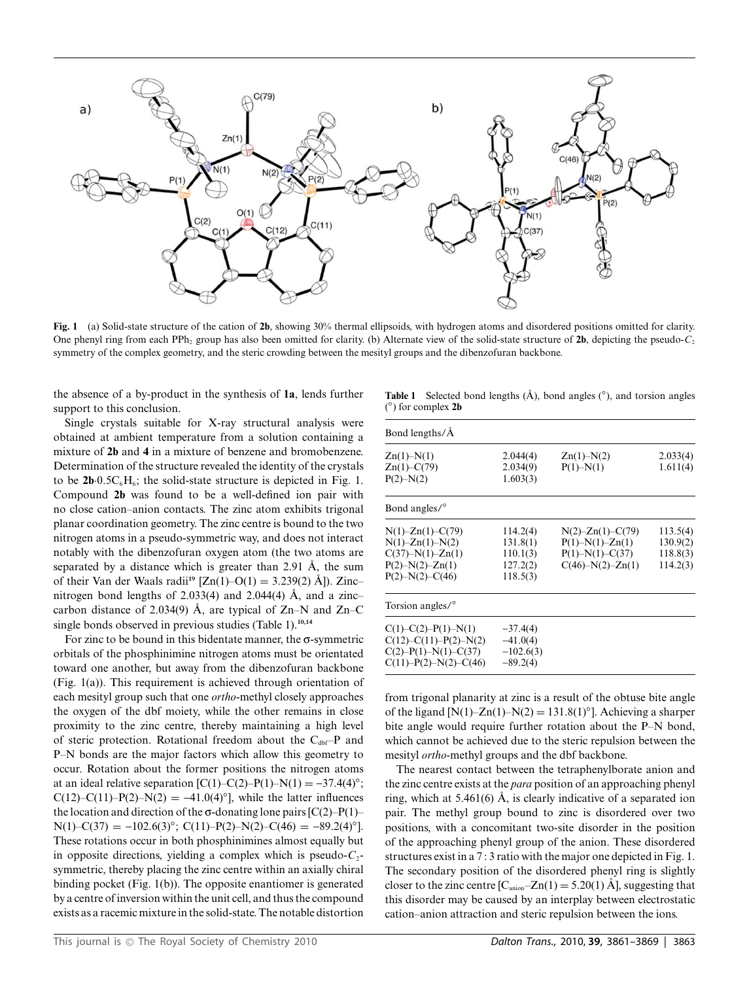

**Fig. 1** (a) Solid-state structure of the cation of **2b**, showing 30% thermal ellipsoids, with hydrogen atoms and disordered positions omitted for clarity. One phenyl ring from each PPh<sub>2</sub> group has also been omitted for clarity. (b) Alternate view of the solid-state structure of  $2b$ , depicting the pseudo-*C*<sub>2</sub> symmetry of the complex geometry, and the steric crowding between the mesityl groups and the dibenzofuran backbone.

the absence of a by-product in the synthesis of **1a**, lends further support to this conclusion.

Single crystals suitable for X-ray structural analysis were obtained at ambient temperature from a solution containing a mixture of **2b** and **4** in a mixture of benzene and bromobenzene. Determination of the structure revealed the identity of the crystals to be  $2b \cdot 0.5C_6H_6$ ; the solid-state structure is depicted in Fig. 1. Compound **2b** was found to be a well-defined ion pair with no close cation–anion contacts. The zinc atom exhibits trigonal planar coordination geometry. The zinc centre is bound to the two nitrogen atoms in a pseudo-symmetric way, and does not interact notably with the dibenzofuran oxygen atom (the two atoms are separated by a distance which is greater than  $2.91 \text{ Å}$ , the sum of their Van der Waals radii<sup>19</sup> [Zn(1)–O(1) = 3.239(2) Å]). Zinc– nitrogen bond lengths of 2.033(4) and 2.044(4)  $\AA$ , and a zinc– carbon distance of 2.034(9) Å, are typical of  $Zn-N$  and  $Zn-C$ single bonds observed in previous studies (Table 1).**10,14**

For zinc to be bound in this bidentate manner, the  $\sigma$ -symmetric orbitals of the phosphinimine nitrogen atoms must be orientated toward one another, but away from the dibenzofuran backbone (Fig. 1(a)). This requirement is achieved through orientation of each mesityl group such that one *ortho*-methyl closely approaches the oxygen of the dbf moiety, while the other remains in close proximity to the zinc centre, thereby maintaining a high level of steric protection. Rotational freedom about the  $C_{\text{dbf}}-P$  and P–N bonds are the major factors which allow this geometry to occur. Rotation about the former positions the nitrogen atoms at an ideal relative separation  $[C(1)-C(2)-P(1)-N(1) = -37.4(4)°;$ C(12)–C(11)–P(2)–N(2) =  $-41.0(4)°$ ], while the latter influences the location and direction of the  $\sigma$ -donating lone pairs [C(2)–P(1)–  $N(1)$ –C(37) = -102.6(3)<sup>°</sup>; C(11)–P(2)–N(2)–C(46) = -89.2(4)<sup>°</sup>]. These rotations occur in both phosphinimines almost equally but in opposite directions, yielding a complex which is pseudo- $C_2$ symmetric, thereby placing the zinc centre within an axially chiral binding pocket (Fig. 1(b)). The opposite enantiomer is generated by a centre of inversion within the unit cell, and thus the compound exists as a racemic mixture in the solid-state. The notable distortion

**Table 1** Selected bond lengths  $(A)$ , bond angles  $(\circ)$ , and torsion angles ( *◦*) for complex **2b**

| Bond lengths/Å                                                                                                                |                                                          |                                                                                                 |                                              |  |
|-------------------------------------------------------------------------------------------------------------------------------|----------------------------------------------------------|-------------------------------------------------------------------------------------------------|----------------------------------------------|--|
| $Zn(1) - N(1)$<br>$Zn(1) - C(79)$<br>$P(2) - N(2)$                                                                            | 2.044(4)<br>2.034(9)<br>1.603(3)                         | $Zn(1) - N(2)$<br>$P(1) - N(1)$                                                                 | 2.033(4)<br>1.611(4)                         |  |
| Bond angles/ <sup>o</sup>                                                                                                     |                                                          |                                                                                                 |                                              |  |
| $N(1) - Zn(1) - C(79)$<br>$N(1) - Zn(1) - N(2)$<br>$C(37) - N(1) - Zn(1)$<br>$P(2) - N(2) - Zn(1)$<br>$P(2) - N(2) - C(46)$   | 114.2(4)<br>131.8(1)<br>110.1(3)<br>127.2(2)<br>118.5(3) | $N(2)$ – $Zn(1)$ –C(79)<br>$P(1) - N(1) - Zn(1)$<br>$P(1) - N(1) - C(37)$<br>$C(46)-N(2)-Zn(1)$ | 113.5(4)<br>130.9(2)<br>118.8(3)<br>114.2(3) |  |
| Torsion angles/ <sup>o</sup>                                                                                                  |                                                          |                                                                                                 |                                              |  |
| $C(1) - C(2) - P(1) - N(1)$<br>$C(12) - C(11) - P(2) - N(2)$<br>$C(2) - P(1) - N(1) - C(37)$<br>$C(11) - P(2) - N(2) - C(46)$ | $-37.4(4)$<br>$-41.0(4)$<br>$-102.6(3)$<br>$-89.2(4)$    |                                                                                                 |                                              |  |

from trigonal planarity at zinc is a result of the obtuse bite angle of the ligand  $[N(1)-Zn(1)-N(2) = 131.8(1)°]$ . Achieving a sharper bite angle would require further rotation about the P–N bond, which cannot be achieved due to the steric repulsion between the mesityl *ortho*-methyl groups and the dbf backbone.

The nearest contact between the tetraphenylborate anion and the zinc centre exists at the *para* position of an approaching phenyl ring, which at  $5.461(6)$  Å, is clearly indicative of a separated ion pair. The methyl group bound to zinc is disordered over two positions, with a concomitant two-site disorder in the position of the approaching phenyl group of the anion. These disordered structures exist in a 7 : 3 ratio with the major one depicted in Fig. 1. The secondary position of the disordered phenyl ring is slightly closer to the zinc centre  $[C_{\text{anion}}-Zn(1) = 5.20(1)$  Å], suggesting that this disorder may be caused by an interplay between electrostatic cation–anion attraction and steric repulsion between the ions.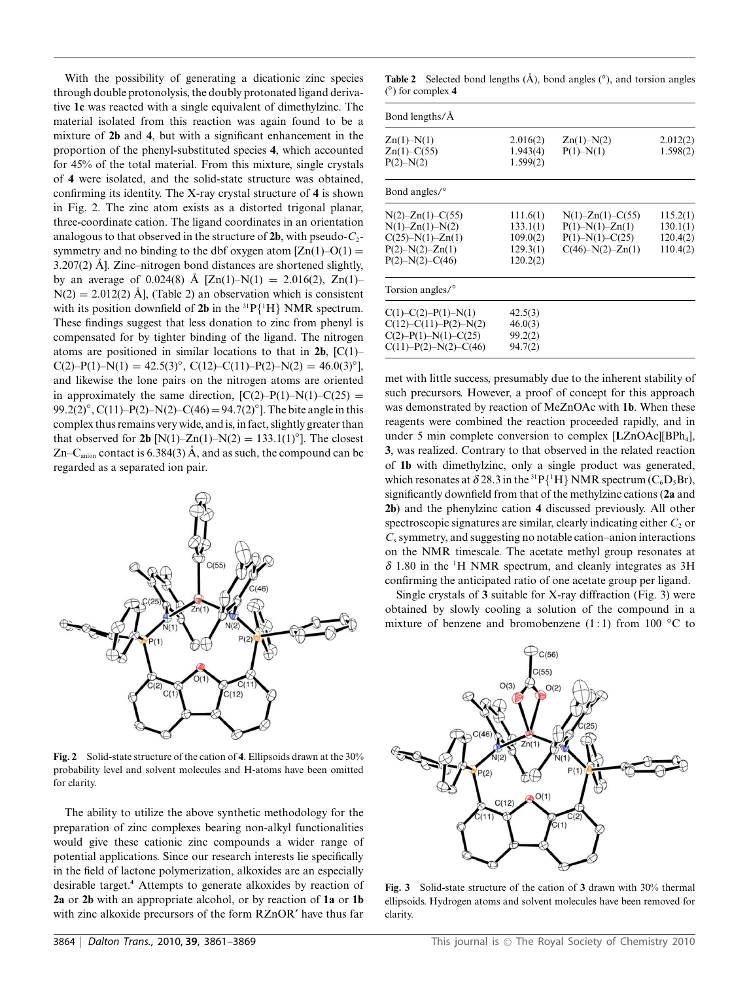With the possibility of generating a dicationic zinc species through double protonolysis, the doubly protonated ligand derivative **1c** was reacted with a single equivalent of dimethylzinc. The material isolated from this reaction was again found to be a mixture of **2b** and **4**, but with a significant enhancement in the proportion of the phenyl-substituted species **4**, which accounted for 45% of the total material. From this mixture, single crystals of **4** were isolated, and the solid-state structure was obtained, confirming its identity. The X-ray crystal structure of **4** is shown in Fig. 2. The zinc atom exists as a distorted trigonal planar, three-coordinate cation. The ligand coordinates in an orientation analogous to that observed in the structure of  $2b$ , with pseudo- $C_2$ symmetry and no binding to the dbf oxygen atom  $[Zn(1)-O(1)]$ 3.207(2)  $\AA$ ]. Zinc–nitrogen bond distances are shortened slightly, by an average of 0.024(8) Å  $[Zn(1)-N(1) = 2.016(2), Zn(1)$  $N(2) = 2.012(2)$  Å], (Table 2) an observation which is consistent with its position downfield of  $2b$  in the  ${}^{31}P{^1H}$  NMR spectrum. These findings suggest that less donation to zinc from phenyl is compensated for by tighter binding of the ligand. The nitrogen atoms are positioned in similar locations to that in  $2b$ ,  $[C(1)$ –  $C(2)$ –P(1)–N(1) = 42.5(3)<sup>°</sup>, C(12)–C(11)–P(2)–N(2) = 46.0(3)<sup>°</sup>], and likewise the lone pairs on the nitrogen atoms are oriented in approximately the same direction,  $[C(2)-P(1)-N(1)-C(25) =$ 99.2(2)*◦*, C(11)–P(2)–N(2)–C(46)= 94.7(2)*◦*]. The bite angle in this complex thus remains very wide, and is, in fact, slightly greater than that observed for **2b** [N(1)–Zn(1)–N(2) = 133.1(1)<sup>°</sup>]. The closest Zn–C<sub>anion</sub> contact is 6.384(3) Å, and as such, the compound can be regarded as a separated ion pair.



**Fig. 2** Solid-state structure of the cation of **4**. Ellipsoids drawn at the 30% probability level and solvent molecules and H-atoms have been omitted for clarity.

The ability to utilize the above synthetic methodology for the preparation of zinc complexes bearing non-alkyl functionalities would give these cationic zinc compounds a wider range of potential applications. Since our research interests lie specifically in the field of lactone polymerization, alkoxides are an especially desirable target.**<sup>4</sup>** Attempts to generate alkoxides by reaction of **2a** or **2b** with an appropriate alcohol, or by reaction of **1a** or **1b** with zinc alkoxide precursors of the form RZnOR' have thus far

Table 2 Selected bond lengths (Å), bond angles (<sup>°</sup>), and torsion angles ( *◦*) for complex **4**

| Bond lengths/Å                    |                      |                                 |                      |
|-----------------------------------|----------------------|---------------------------------|----------------------|
| $Zn(1) - N(1)$<br>$Zn(1) - C(55)$ | 2.016(2)<br>1.943(4) | $Zn(1) - N(2)$<br>$P(1) - N(1)$ | 2.012(2)<br>1.598(2) |
| $P(2) - N(2)$                     | 1.599(2)             |                                 |                      |
| Bond angles/ <sup>o</sup>         |                      |                                 |                      |
| $N(2)$ – $Zn(1)$ – $C(55)$        | 111.6(1)             | $N(1)$ - $Zn(1)$ - $C(55)$      | 115.2(1)             |
| $N(1) - Zn(1) - N(2)$             | 133.1(1)             | $P(1) - N(1) - Zn(1)$           | 130.1(1)             |
| $C(25)-N(1)-Zn(1)$                | 109.0(2)             | $P(1) - N(1) - C(25)$           | 120.4(2)             |
| $P(2) - N(2) - Zn(1)$             | 129.3(1)             | $C(46) - N(2) - Zn(1)$          | 110.4(2)             |
| $P(2) - N(2) - C(46)$             | 120.2(2)             |                                 |                      |
| Torsion angles/ <sup>o</sup>      |                      |                                 |                      |
| $C(1) - C(2) - P(1) - N(1)$       | 42.5(3)              |                                 |                      |
| $C(12) - C(11) - P(2) - N(2)$     | 46.0(3)              |                                 |                      |
| $C(2) - P(1) - N(1) - C(25)$      | 99.2(2)              |                                 |                      |
| $C(11) - P(2) - N(2) - C(46)$     | 94.7(2)              |                                 |                      |

met with little success, presumably due to the inherent stability of such precursors. However, a proof of concept for this approach was demonstrated by reaction of MeZnOAc with **1b**. When these reagents were combined the reaction proceeded rapidly, and in under 5 min complete conversion to complex [LZnOAc][BPh<sub>4</sub>], **3**, was realized. Contrary to that observed in the related reaction of **1b** with dimethylzinc, only a single product was generated, which resonates at  $\delta$  28.3 in the <sup>31</sup> P{<sup>1</sup>H} NMR spectrum (C<sub>6</sub>D<sub>5</sub>Br), significantly downfield from that of the methylzinc cations (**2a** and **2b**) and the phenylzinc cation **4** discussed previously. All other spectroscopic signatures are similar, clearly indicating either  $C<sub>2</sub>$  or *C*<sup>s</sup> symmetry, and suggesting no notable cation–anion interactions on the NMR timescale. The acetate methyl group resonates at  $\delta$  1.80 in the <sup>1</sup>H NMR spectrum, and cleanly integrates as 3H confirming the anticipated ratio of one acetate group per ligand.

Single crystals of **3** suitable for X-ray diffraction (Fig. 3) were obtained by slowly cooling a solution of the compound in a mixture of benzene and bromobenzene (1 : 1) from 100 *◦*C to



**Fig. 3** Solid-state structure of the cation of **3** drawn with 30% thermal ellipsoids. Hydrogen atoms and solvent molecules have been removed for clarity.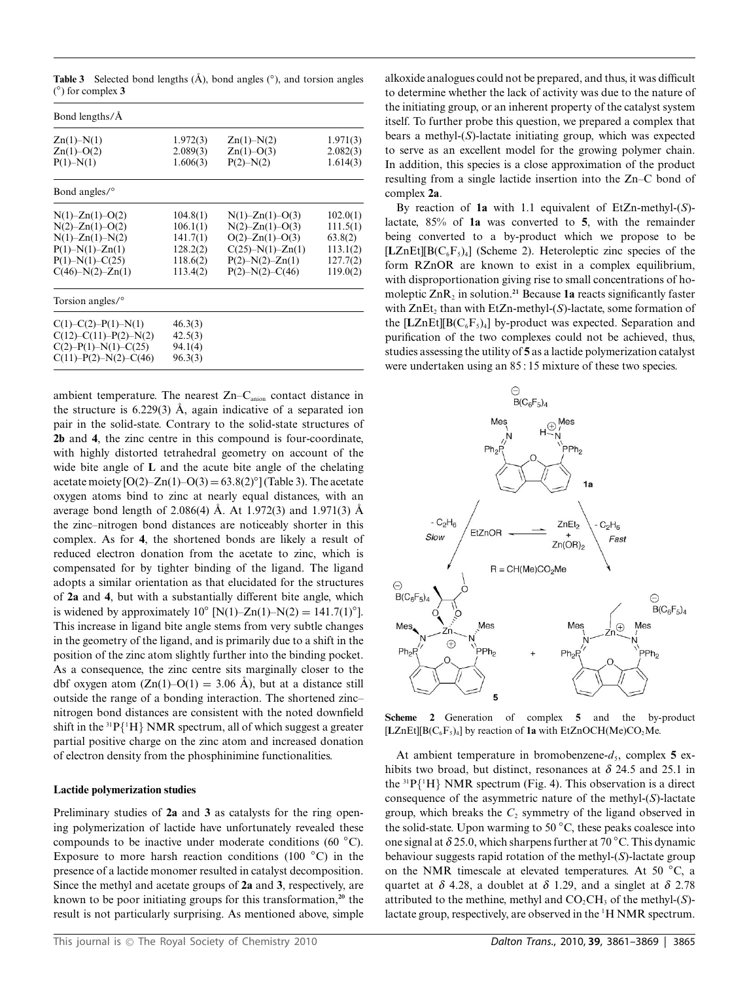Table 3 Selected bond lengths (Å), bond angles (<sup>°</sup>), and torsion angles ( *◦*) for complex **3**

| Bond lengths/Å                   |                      |                                  |                      |
|----------------------------------|----------------------|----------------------------------|----------------------|
| $Zn(1) - N(1)$<br>$Zn(1) - O(2)$ | 1.972(3)<br>2.089(3) | $Zn(1) - N(2)$<br>$Zn(1) - O(3)$ | 1.971(3)<br>2.082(3) |
| $P(1) - N(1)$                    | 1.606(3)             | $P(2) - N(2)$                    | 1.614(3)             |
| Bond angles/ <sup>o</sup>        |                      |                                  |                      |
| $N(1)$ -Zn $(1)$ -O $(2)$        | 104.8(1)             | $N(1) - Zn(1) - O(3)$            | 102.0(1)             |
| $N(2) - Zn(1) - O(2)$            | 106.1(1)             | $N(2)$ -Zn(1)-O(3)               | 111.5(1)             |
| $N(1)$ – $Zn(1)$ – $N(2)$        | 141.7(1)             | $O(2)$ -Zn(1)- $O(3)$            | 63.8(2)              |
| $P(1) - N(1) - Zn(1)$            | 128.2(2)             | $C(25) - N(1) - Zn(1)$           | 113.1(2)             |
| $P(1) - N(1) - C(25)$            | 118.6(2)             | $P(2) - N(2) - Zn(1)$            | 127.7(2)             |
| $C(46) - N(2) - Zn(1)$           | 113.4(2)             | $P(2) - N(2) - C(46)$            | 119.0(2)             |
| Torsion angles/ <sup>o</sup>     |                      |                                  |                      |
| $C(1) - C(2) - P(1) - N(1)$      | 46.3(3)              |                                  |                      |
| $C(12) - C(11) - P(2) - N(2)$    | 42.5(3)              |                                  |                      |
| $C(2) - P(1) - N(1) - C(25)$     | 94.1(4)              |                                  |                      |
| $C(11) - P(2) - N(2) - C(46)$    | 96.3(3)              |                                  |                      |

ambient temperature. The nearest Zn–C<sub>anion</sub> contact distance in the structure is  $6.229(3)$  Å, again indicative of a separated ion pair in the solid-state. Contrary to the solid-state structures of **2b** and **4**, the zinc centre in this compound is four-coordinate, with highly distorted tetrahedral geometry on account of the wide bite angle of **L** and the acute bite angle of the chelating acetate moiety  $[O(2) - Zn(1) - O(3) = 63.8(2)°]$  (Table 3). The acetate oxygen atoms bind to zinc at nearly equal distances, with an average bond length of 2.086(4) Å. At 1.972(3) and 1.971(3) Å the zinc–nitrogen bond distances are noticeably shorter in this complex. As for **4**, the shortened bonds are likely a result of reduced electron donation from the acetate to zinc, which is compensated for by tighter binding of the ligand. The ligand adopts a similar orientation as that elucidated for the structures of **2a** and **4**, but with a substantially different bite angle, which is widened by approximately  $10^{\circ}$  [N(1)–Zn(1)–N(2) = 141.7(1)<sup>°</sup>]. This increase in ligand bite angle stems from very subtle changes in the geometry of the ligand, and is primarily due to a shift in the position of the zinc atom slightly further into the binding pocket. As a consequence, the zinc centre sits marginally closer to the dbf oxygen atom  $(Zn(1)-O(1) = 3.06 \text{ Å})$ , but at a distance still outside the range of a bonding interaction. The shortened zinc– nitrogen bond distances are consistent with the noted downfield shift in the  ${}^{31}P{^1H}$  NMR spectrum, all of which suggest a greater partial positive charge on the zinc atom and increased donation of electron density from the phosphinimine functionalities.

#### **Lactide polymerization studies**

Preliminary studies of **2a** and **3** as catalysts for the ring opening polymerization of lactide have unfortunately revealed these compounds to be inactive under moderate conditions (60 *◦*C). Exposure to more harsh reaction conditions (100 *◦*C) in the presence of a lactide monomer resulted in catalyst decomposition. Since the methyl and acetate groups of **2a** and **3**, respectively, are known to be poor initiating groups for this transformation,**<sup>20</sup>** the result is not particularly surprising. As mentioned above, simple

alkoxide analogues could not be prepared, and thus, it was difficult to determine whether the lack of activity was due to the nature of the initiating group, or an inherent property of the catalyst system itself. To further probe this question, we prepared a complex that bears a methyl-(*S*)-lactate initiating group, which was expected to serve as an excellent model for the growing polymer chain. In addition, this species is a close approximation of the product resulting from a single lactide insertion into the Zn–C bond of complex **2a**.

By reaction of **1a** with 1.1 equivalent of EtZn-methyl-(*S*) lactate, 85% of **1a** was converted to **5**, with the remainder being converted to a by-product which we propose to be  $[LZnEt][B(C_6F_5)_4]$  (Scheme 2). Heteroleptic zinc species of the form RZnOR are known to exist in a complex equilibrium, with disproportionation giving rise to small concentrations of homoleptic  $\text{ZnR}_2$  in solution.<sup>21</sup> Because 1a reacts significantly faster with  $ZnEt_2$  than with  $EtZn$ -methyl- $(S)$ -lactate, some formation of the  $[LZnEt][B(C_6F_5)_4]$  by-product was expected. Separation and purification of the two complexes could not be achieved, thus, studies assessing the utility of **5** as a lactide polymerization catalyst were undertaken using an 85 : 15 mixture of these two species.



**Scheme 2** Generation of complex **5** and the by-product  $[LZnEt][B(C_6F_5)_4]$  by reaction of **1a** with EtZnOCH(Me)CO<sub>2</sub>Me.

At ambient temperature in bromobenzene- $d_5$ , complex 5 exhibits two broad, but distinct, resonances at  $\delta$  24.5 and 25.1 in the  ${}^{31}P{^1H}$  NMR spectrum (Fig. 4). This observation is a direct consequence of the asymmetric nature of the methyl-(*S*)-lactate group, which breaks the  $C_2$  symmetry of the ligand observed in the solid-state. Upon warming to 50 *◦*C, these peaks coalesce into one signal at *d* 25.0, which sharpens further at 70 *◦*C. This dynamic behaviour suggests rapid rotation of the methyl-(*S*)-lactate group on the NMR timescale at elevated temperatures. At 50 *◦*C, a quartet at  $\delta$  4.28, a doublet at  $\delta$  1.29, and a singlet at  $\delta$  2.78 attributed to the methine, methyl and  $CO<sub>2</sub>CH<sub>3</sub>$  of the methyl- $(S)$ lactate group, respectively, are observed in the <sup>1</sup>H NMR spectrum.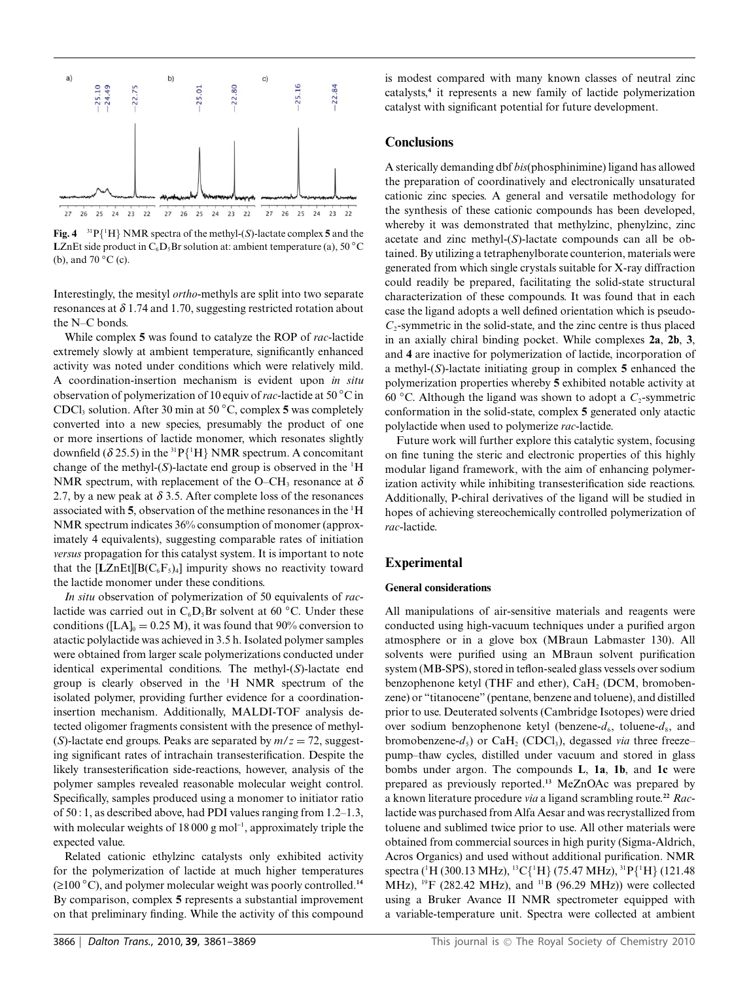

**Fig. 4**  ${}^{31}P{^1H}$  NMR spectra of the methyl-(*S*)-lactate complex **5** and the **LZnEt side product in**  $C_6D_5Br$  **solution at: ambient temperature (a), 50 °C** (b), and 70 *◦*C (c).

Interestingly, the mesityl *ortho*-methyls are split into two separate resonances at  $\delta$  1.74 and 1.70, suggesting restricted rotation about the N–C bonds.

While complex **5** was found to catalyze the ROP of *rac*-lactide extremely slowly at ambient temperature, significantly enhanced activity was noted under conditions which were relatively mild. A coordination-insertion mechanism is evident upon *in situ* observation of polymerization of 10 equiv of*rac*-lactide at 50 *◦*C in CDCl3 solution. After 30 min at 50 *◦*C, complex **5** was completely converted into a new species, presumably the product of one or more insertions of lactide monomer, which resonates slightly downfield ( $\delta$  25.5) in the <sup>31</sup> P{<sup>1</sup>H} NMR spectrum. A concomitant change of the methyl- $(S)$ -lactate end group is observed in the  ${}^{1}H$ NMR spectrum, with replacement of the O–CH<sub>3</sub> resonance at  $\delta$ 2.7, by a new peak at  $\delta$  3.5. After complete loss of the resonances associated with **5**, observation of the methine resonances in the <sup>1</sup> H NMR spectrum indicates 36% consumption of monomer (approximately 4 equivalents), suggesting comparable rates of initiation *versus* propagation for this catalyst system. It is important to note that the  $[LZnEt][B(C_6F_5)_4]$  impurity shows no reactivity toward the lactide monomer under these conditions.

*In situ* observation of polymerization of 50 equivalents of *rac*lactide was carried out in  $C_6D_5Br$  solvent at 60  $°C$ . Under these conditions ( $[LA]_0 = 0.25 M$ ), it was found that 90% conversion to atactic polylactide was achieved in 3.5 h. Isolated polymer samples were obtained from larger scale polymerizations conducted under identical experimental conditions. The methyl-(*S*)-lactate end group is clearly observed in the <sup>1</sup> H NMR spectrum of the isolated polymer, providing further evidence for a coordinationinsertion mechanism. Additionally, MALDI-TOF analysis detected oligomer fragments consistent with the presence of methyl- (*S*)-lactate end groups. Peaks are separated by  $m/z = 72$ , suggesting significant rates of intrachain transesterification. Despite the likely transesterification side-reactions, however, analysis of the polymer samples revealed reasonable molecular weight control. Specifically, samples produced using a monomer to initiator ratio of 50 : 1, as described above, had PDI values ranging from 1.2–1.3, with molecular weights of  $18\,000$  g mol<sup>-1</sup>, approximately triple the expected value.

Related cationic ethylzinc catalysts only exhibited activity for the polymerization of lactide at much higher temperatures (≥100 *◦*C), and polymer molecular weight was poorly controlled.**<sup>14</sup>** By comparison, complex **5** represents a substantial improvement on that preliminary finding. While the activity of this compound is modest compared with many known classes of neutral zinc catalysts,**<sup>4</sup>** it represents a new family of lactide polymerization catalyst with significant potential for future development.

#### **Conclusions**

A sterically demanding dbf *bis*(phosphinimine) ligand has allowed the preparation of coordinatively and electronically unsaturated cationic zinc species. A general and versatile methodology for the synthesis of these cationic compounds has been developed, whereby it was demonstrated that methylzinc, phenylzinc, zinc acetate and zinc methyl-(*S*)-lactate compounds can all be obtained. By utilizing a tetraphenylborate counterion, materials were generated from which single crystals suitable for X-ray diffraction could readily be prepared, facilitating the solid-state structural characterization of these compounds. It was found that in each case the ligand adopts a well defined orientation which is pseudo- $C_2$ -symmetric in the solid-state, and the zinc centre is thus placed in an axially chiral binding pocket. While complexes **2a**, **2b**, **3**, and **4** are inactive for polymerization of lactide, incorporation of a methyl-(*S*)-lactate initiating group in complex **5** enhanced the polymerization properties whereby **5** exhibited notable activity at 60 *◦*C. Although the ligand was shown to adopt a *C*2-symmetric conformation in the solid-state, complex **5** generated only atactic polylactide when used to polymerize *rac*-lactide.

Future work will further explore this catalytic system, focusing on fine tuning the steric and electronic properties of this highly modular ligand framework, with the aim of enhancing polymerization activity while inhibiting transesterification side reactions. Additionally, P-chiral derivatives of the ligand will be studied in hopes of achieving stereochemically controlled polymerization of *rac*-lactide.

## **Experimental**

#### **General considerations**

All manipulations of air-sensitive materials and reagents were conducted using high-vacuum techniques under a purified argon atmosphere or in a glove box (MBraun Labmaster 130). All solvents were purified using an MBraun solvent purification system (MB-SPS), stored in teflon-sealed glass vessels over sodium benzophenone ketyl (THF and ether),  $CaH<sub>2</sub>$  (DCM, bromobenzene) or "titanocene" (pentane, benzene and toluene), and distilled prior to use. Deuterated solvents (Cambridge Isotopes) were dried over sodium benzophenone ketyl (benzene- $d_6$ , toluene- $d_8$ , and bromobenzene- $d_5$ ) or CaH<sub>2</sub> (CDCl<sub>3</sub>), degassed *via* three freeze– pump–thaw cycles, distilled under vacuum and stored in glass bombs under argon. The compounds **L**, **1a**, **1b**, and **1c** were prepared as previously reported.**<sup>13</sup>** MeZnOAc was prepared by a known literature procedure *via* a ligand scrambling route.**<sup>22</sup>** *Rac*lactide was purchased from Alfa Aesar and was recrystallized from toluene and sublimed twice prior to use. All other materials were obtained from commercial sources in high purity (Sigma-Aldrich, Acros Organics) and used without additional purification. NMR spectra (<sup>1</sup>H (300.13 MHz), <sup>13</sup>C{<sup>1</sup>H} (75.47 MHz), <sup>31</sup>P{<sup>1</sup>H} (121.48 MHz), <sup>19</sup>F (282.42 MHz), and <sup>11</sup>B (96.29 MHz)) were collected using a Bruker Avance II NMR spectrometer equipped with a variable-temperature unit. Spectra were collected at ambient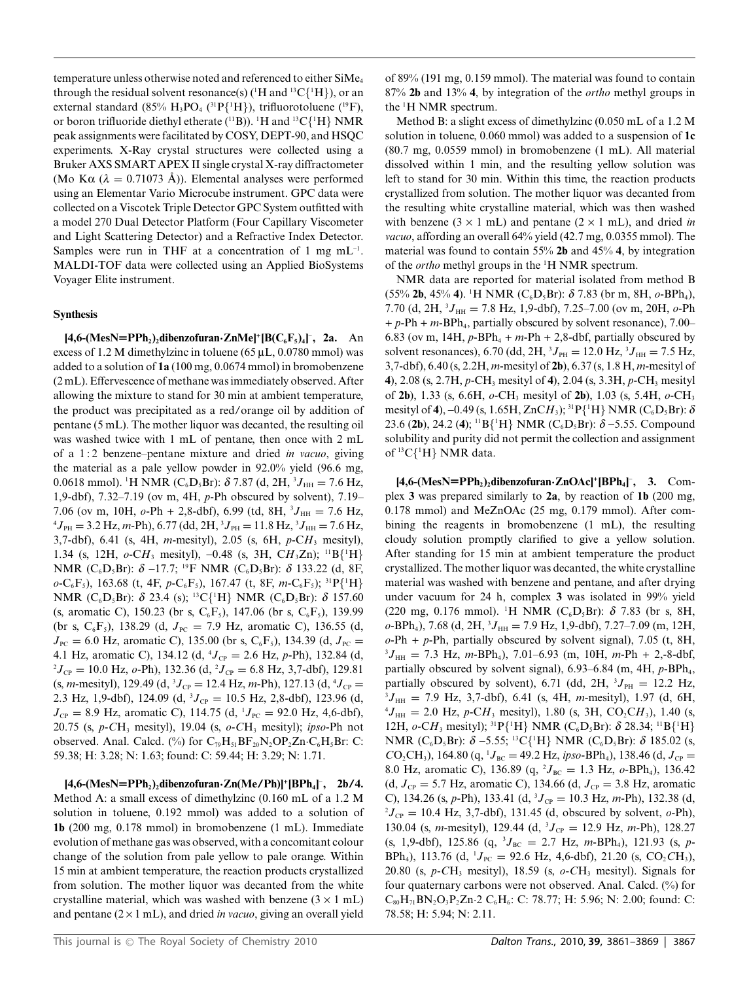temperature unless otherwise noted and referenced to either SiMe4 through the residual solvent resonance(s) ( ${}^1H$  and  ${}^1{}^3C_1{}^1H$ }), or an external standard (85%  $H_3PO_4$  (<sup>31</sup> $P{^1H}$ ), trifluorotoluene (<sup>19</sup>F), or boron trifluoride diethyl etherate ( $\rm ^{11}B$ )).  $\rm ^1H$  and  $\rm ^{13}C\{^1H\}$  NMR peak assignments were facilitated by COSY, DEPT-90, and HSQC experiments. X-Ray crystal structures were collected using a Bruker AXS SMART APEX II single crystal X-ray diffractometer (Mo K $\alpha$  ( $\lambda = 0.71073$  Å)). Elemental analyses were performed using an Elementar Vario Microcube instrument. GPC data were collected on a Viscotek Triple Detector GPC System outfitted with a model 270 Dual Detector Platform (Four Capillary Viscometer and Light Scattering Detector) and a Refractive Index Detector. Samples were run in THF at a concentration of 1 mg  $mL^{-1}$ . MALDI-TOF data were collected using an Applied BioSystems Voyager Elite instrument.

## **Synthesis**

 $[4,6-(\text{MesN=PPh}_2)_2$ dibenzofuran**·ZnMe**]<sup>+</sup>[ $B(C_6F_5)_4$ ]<sup>-</sup>, 2a. An excess of 1.2 M dimethylzinc in toluene (65  $\mu$ L, 0.0780 mmol) was added to a solution of **1a** (100 mg, 0.0674 mmol) in bromobenzene (2 mL). Effervescence of methane was immediately observed. After allowing the mixture to stand for 30 min at ambient temperature, the product was precipitated as a red/orange oil by addition of pentane (5 mL). The mother liquor was decanted, the resulting oil was washed twice with 1 mL of pentane, then once with 2 mL of a 1 : 2 benzene–pentane mixture and dried *in vacuo*, giving the material as a pale yellow powder in 92.0% yield (96.6 mg, 0.0618 mmol). <sup>1</sup>H NMR (C<sub>6</sub>D<sub>5</sub>Br):  $\delta$  7.87 (d, 2H, <sup>3</sup>J<sub>HH</sub> = 7.6 Hz, 1,9-dbf), 7.32–7.19 (ov m, 4H, *p*-Ph obscured by solvent), 7.19– 7.06 (ov m, 10H,  $o$ -Ph + 2,8-dbf), 6.99 (td, 8H, <sup>3</sup> $J_{HH} = 7.6$  Hz, <sup>4</sup> $I = 3.2$  Hz m-Ph) 6.77 (dd, 2H, <sup>3</sup> $I = 11.8$  Hz, <sup>3</sup> $I = 7.6$  Hz  $J_{\text{PH}} = 3.2 \text{ Hz}, \text{m-Ph}, 6.77 \text{ (dd, } 2\text{H}, {}^{3}J_{\text{PH}} = 11.8 \text{ Hz}, {}^{3}J_{\text{HH}} = 7.6 \text{ Hz},$ 3,7-dbf), 6.41 (s, 4H, *m*-mesityl), 2.05 (s, 6H, *p*-C*H*<sup>3</sup> mesityl), 1.34 (s, 12H,  $o$ -CH<sub>3</sub> mesityl), -0.48 (s, 3H, CH<sub>3</sub>Zn); <sup>11</sup>B{<sup>1</sup>H} NMR (C<sub>6</sub>D<sub>5</sub>Br): δ –17.7; <sup>19</sup>F NMR (C<sub>6</sub>D<sub>5</sub>Br): δ 133.22 (d, 8F, *o*-C<sub>6</sub>F<sub>5</sub>), 163.68 (t, 4F, *p*-C<sub>6</sub>F<sub>5</sub>), 167.47 (t, 8F, *m*-C<sub>6</sub>F<sub>5</sub>); <sup>31</sup>P{<sup>1</sup>H} NMR (C<sub>6</sub>D<sub>5</sub>Br): *δ* 23.4 (s); <sup>13</sup>C{<sup>1</sup>H} NMR (C<sub>6</sub>D<sub>5</sub>Br): *δ* 157.60 (s, aromatic C), 150.23 (br s,  $C_6F_5$ ), 147.06 (br s,  $C_6F_5$ ), 139.99 (br s,  $C_6F_5$ ), 138.29 (d,  $J_{PC} = 7.9$  Hz, aromatic C), 136.55 (d,  $J_{\text{PC}} = 6.0$  Hz, aromatic C), 135.00 (br s, C<sub>6</sub>F<sub>5</sub>), 134.39 (d,  $J_{\text{PC}} =$ 4.1 Hz, aromatic C), 134.12 (d, <sup>4</sup> $J_{CP} = 2.6$  Hz, *p*-Ph), 132.84 (d, <sup>2</sup> $I_{\infty} = 10.0$  Hz, *o*-Ph), 132.36 (d, <sup>2</sup> $I_{\infty} = 6.8$  Hz, 3.7-dbf), 129.81  $J_{\rm CP} = 10.0$  Hz,  $o$ -Ph), 132.36 (d,  $^2J_{\rm CP} = 6.8$  Hz, 3,7-dbf), 129.81  $(s, m\text{-}mesityl), 129.49 (d, {}^{3}J_{CP} = 12.4 \text{ Hz}, m\text{-}Ph), 127.13 (d, {}^{4}J_{CP} =$ 2.3 Hz, 1,9-dbf), 124.09 (d,  ${}^{3}J_{CP} = 10.5$  Hz, 2,8-dbf), 123.96 (d,  $J_{\text{CP}} = 8.9 \text{ Hz}$ , aromatic C), 114.75 (d, <sup>1</sup> $J_{\text{PC}} = 92.0 \text{ Hz}$ , 4,6-dbf), 20.75 (s, *p*-*C*H3 mesityl), 19.04 (s, *o*-*C*H3 mesityl); *ipso*-Ph not observed. Anal. Calcd. (%) for  $C_{79}H_{51}BF_{20}N_2OP_2Zn \cdot C_6H_5Br$ : C: 59.38; H: 3.28; N: 1.63; found: C: 59.44; H: 3.29; N: 1.71.

**[4,6-(MesN=PPh2)2dibenzofuran·Zn(Me/Ph)]+[BPh4]** - **, 2b/4.** Method A: a small excess of dimethylzinc (0.160 mL of a 1.2 M solution in toluene, 0.192 mmol) was added to a solution of **1b** (200 mg, 0.178 mmol) in bromobenzene (1 mL). Immediate evolution of methane gas was observed, with a concomitant colour change of the solution from pale yellow to pale orange. Within 15 min at ambient temperature, the reaction products crystallized from solution. The mother liquor was decanted from the white crystalline material, which was washed with benzene  $(3 \times 1 \text{ mL})$ and pentane  $(2 \times 1$  mL), and dried *in vacuo*, giving an overall yield of 89% (191 mg, 0.159 mmol). The material was found to contain 87% **2b** and 13% **4**, by integration of the *ortho* methyl groups in the <sup>1</sup> H NMR spectrum.

Method B: a slight excess of dimethylzinc (0.050 mL of a 1.2 M solution in toluene, 0.060 mmol) was added to a suspension of **1c** (80.7 mg, 0.0559 mmol) in bromobenzene (1 mL). All material dissolved within 1 min, and the resulting yellow solution was left to stand for 30 min. Within this time, the reaction products crystallized from solution. The mother liquor was decanted from the resulting white crystalline material, which was then washed with benzene  $(3 \times 1 \text{ mL})$  and pentane  $(2 \times 1 \text{ mL})$ , and dried *in vacuo*, affording an overall 64% yield (42.7 mg, 0.0355 mmol). The material was found to contain 55% **2b** and 45% **4**, by integration of the *ortho* methyl groups in the <sup>1</sup> H NMR spectrum.

NMR data are reported for material isolated from method B  $(55\%$  **2b**, 45% **4**). <sup>1</sup>H NMR (C<sub>6</sub>D<sub>5</sub>Br):  $\delta$  7.83 (br m, 8H,  $o$ -BPh<sub>4</sub>), 7.70 (d, 2H, <sup>3</sup> $J_{HH}$  = 7.8 Hz, 1,9-dbf), 7.25–7.00 (ov m, 20H, *o*-Ph + *p*-Ph + *m*-BPh4, partially obscured by solvent resonance), 7.00– 6.83 (ov m, 14H,  $p$ -BPh<sub>4</sub> +  $m$ -Ph + 2,8-dbf, partially obscured by solvent resonances), 6.70 (dd, 2H,  ${}^{3}J_{\text{PH}} = 12.0 \text{ Hz}, {}^{3}J_{\text{HH}} = 7.5 \text{ Hz},$ 3,7-dbf), 6.40 (s, 2.2H, *m*-mesityl of **2b**), 6.37 (s, 1.8 H, *m*-mesityl of **4**), 2.08 (s, 2.7H, *p*-CH<sub>3</sub> mesityl of **4**), 2.04 (s, 3.3H, *p*-CH<sub>3</sub> mesityl of **2b**), 1.33 (s, 6.6H, *o*-CH3 mesityl of **2b**), 1.03 (s, 5.4H, *o*-CH3 mesityl of **4**), –0.49 (s, 1.65H, ZnCH<sub>3</sub>); <sup>31</sup>P{<sup>1</sup>H} NMR (C<sub>6</sub>D<sub>5</sub>Br):  $\delta$ 23.6 (**2b**), 24.2 (**4**); <sup>11</sup>B{<sup>1</sup>H} NMR (C<sub>6</sub>D<sub>5</sub>Br): δ –5.55. Compound solubility and purity did not permit the collection and assignment of  ${}^{13}C[{^1}H]$  NMR data.

 $[4,6-(\text{MesN}=PPh_2)_2$ dibenzofuran**·ZnOAc**]<sup>+</sup> $[BPh_4]$ <sup>-</sup>, 3. Complex **3** was prepared similarly to **2a**, by reaction of **1b** (200 mg, 0.178 mmol) and MeZnOAc (25 mg, 0.179 mmol). After combining the reagents in bromobenzene (1 mL), the resulting cloudy solution promptly clarified to give a yellow solution. After standing for 15 min at ambient temperature the product crystallized. The mother liquor was decanted, the white crystalline material was washed with benzene and pentane, and after drying under vacuum for 24 h, complex **3** was isolated in 99% yield (220 mg, 0.176 mmol). <sup>1</sup>H NMR (C<sub>6</sub>D<sub>5</sub>Br):  $\delta$  7.83 (br s, 8H, *o*-BPh<sub>4</sub>), 7.68 (d, 2H, <sup>3</sup> $J_{HH}$  = 7.9 Hz, 1,9-dbf), 7.27–7.09 (m, 12H, *o*-Ph + *p*-Ph, partially obscured by solvent signal), 7.05 (t, 8H,  $J_{HH}$  = 7.3 Hz, *m*-BPh<sub>4</sub>), 7.01–6.93 (m, 10H, *m*-Ph + 2,-8-dbf, partially obscured by solvent signal),  $6.93-6.84$  (m,  $4H$ ,  $p$ -BPh<sub>4</sub>, partially obscured by solvent), 6.71 (dd, 2H,  ${}^{3}J_{\text{PH}} = 12.2 \text{ Hz}$ ,  ${}^{3}I_{\text{H}} = 7.9 \text{ Hz}$ , 3.7-dbf), 6.41 (s, 4H, m-mesityl), 1.97 (d, 6H  ${}^{3}J_{\text{HH}} = 7.9$  Hz, 3,7-dbf), 6.41 (s, 4H, *m*-mesityl), 1.97 (d, 6H,  $^{4}J_{\text{HH}} = 2.0$  Hz, *p*-C*H*<sub>3</sub> mesityl), 1.80 (s, 3H, CO<sub>2</sub>C*H*<sub>3</sub>), 1.40 (s, 12H,  $o$ -CH<sub>3</sub> mesityl); <sup>31</sup>P{<sup>1</sup>H} NMR (C<sub>6</sub>D<sub>5</sub>Br):  $\delta$  28.34; <sup>11</sup>B{<sup>1</sup>H} NMR (C<sub>6</sub>D<sub>5</sub>Br): *δ* –5.55; <sup>13</sup>C{<sup>1</sup>H} NMR (C<sub>6</sub>D<sub>5</sub>Br): *δ* 185.02 (s,  $CO_2CH_3$ ), 164.80 (q, <sup>1</sup> $J_{BC} = 49.2$  Hz, *ipso*-BPh<sub>4</sub>), 138.46 (d,  $J_{CP} =$ 8.0 Hz, aromatic C), 136.89 (q, <sup>2</sup> $J_{BC} = 1.3$  Hz,  $o$ -BPh<sub>4</sub>), 136.42 (d,  $J_{CP} = 5.7$  Hz, aromatic C), 134.66 (d,  $J_{CP} = 3.8$  Hz, aromatic C), 134.26 (s, *p*-Ph), 133.41 (d,  ${}^{3}J_{CP} = 10.3$  Hz, *m*-Ph), 132.38 (d,  ${}^{2}I_{-} = 10.4$  Hz, 3.7-dbf), 131.45 (d, obscured by solvent, a-Ph)  ${}^{2}J_{CP} = 10.4$  Hz, 3,7-dbf), 131.45 (d, obscured by solvent,  $o$ -Ph), 130.04 (s, *m*-mesityl), 129.44 (d, <sup>3</sup>J<sub>CP</sub> = 12.9 Hz, *m*-Ph), 128.27  $(s, 1, 9$ -dbf), 125.86  $(q, {}^{3}J_{BC} = 2.7 \text{ Hz}, m$ -BPh<sub>4</sub>), 121.93  $(s, p$ - $BPh_4$ ), 113.76 (d, <sup>1</sup>J<sub>PC</sub> = 92.6 Hz, 4,6-dbf), 21.20 (s, CO<sub>2</sub>CH<sub>3</sub>), 20.80 (s, *p*-*C*H3 mesityl), 18.59 (s, *o*-*C*H3 mesityl). Signals for four quaternary carbons were not observed. Anal. Calcd. (%) for  $C_{80}H_{71}BN_2O_3P_2Zn.2 C_6H_6$ : C: 78.77; H: 5.96; N: 2.00; found: C: 78.58; H: 5.94; N: 2.11.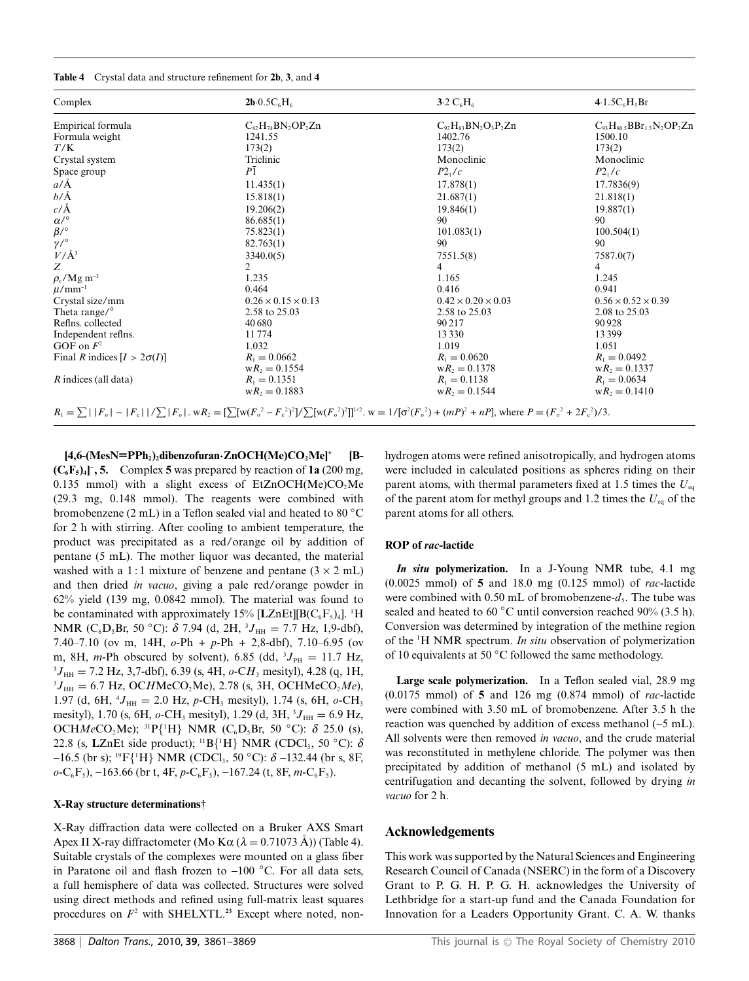|  |  |  |  |  | Table 4 Crystal data and structure refinement for 2b, 3, and 4 |  |  |  |  |
|--|--|--|--|--|----------------------------------------------------------------|--|--|--|--|
|--|--|--|--|--|----------------------------------------------------------------|--|--|--|--|

| Complex                            | $2b.0.5C_6H_6$                 | $3.2 C_6H_6$                                                                                                                                                                          | 4.1.5 $C_6H_5Br$                          |  |
|------------------------------------|--------------------------------|---------------------------------------------------------------------------------------------------------------------------------------------------------------------------------------|-------------------------------------------|--|
| Empirical formula                  | $C_{82}H_{74}BN_2OP_2Zn$       | $C_{92}H_{83}BN_2O_3P_2Zn$                                                                                                                                                            | $C_{93}H_{80}$ 5 $BBr_{1.5}N_{2}OP_{2}Zn$ |  |
| Formula weight                     | 1241.55                        | 1402.76                                                                                                                                                                               | 1500.10                                   |  |
| T/K                                | 173(2)                         | 173(2)                                                                                                                                                                                | 173(2)                                    |  |
| Crystal system                     | Triclinic                      | Monoclinic                                                                                                                                                                            | Monoclinic                                |  |
| Space group                        | $P\bar{1}$                     | $P2_1/c$                                                                                                                                                                              | $P2_1/c$                                  |  |
| $a/\text{\AA}$                     | 11.435(1)                      | 17.878(1)                                                                                                                                                                             | 17.7836(9)                                |  |
| $b/\text{\AA}$                     | 15.818(1)                      | 21.687(1)                                                                                                                                                                             | 21.818(1)                                 |  |
| $c/\text{\AA}$                     | 19.206(2)                      | 19.846(1)                                                                                                                                                                             | 19.887(1)                                 |  |
| $\alpha/^\circ$                    | 86.685(1)                      | 90                                                                                                                                                                                    | 90                                        |  |
| $\beta$ /°                         | 75.823(1)                      | 101.083(1)                                                                                                                                                                            | 100.504(1)                                |  |
| $\gamma/^{\circ}$                  | 82.763(1)                      | 90                                                                                                                                                                                    | 90                                        |  |
| $V/\AA$ <sup>3</sup>               | 3340.0(5)                      | 7551.5(8)                                                                                                                                                                             | 7587.0(7)                                 |  |
| Z                                  | $\overline{2}$                 | 4                                                                                                                                                                                     | 4                                         |  |
| $\rho_{\rm c}$ /Mg m <sup>-3</sup> | 1.235                          | 1.165                                                                                                                                                                                 | 1.245                                     |  |
| $\mu$ /mm <sup>-1</sup>            | 0.464                          | 0.416                                                                                                                                                                                 | 0.941                                     |  |
| Crystal size/mm                    | $0.26 \times 0.15 \times 0.13$ | $0.42 \times 0.20 \times 0.03$                                                                                                                                                        | $0.56 \times 0.52 \times 0.39$            |  |
| Theta range/ $\degree$             | 2.58 to 25.03                  | 2.58 to 25.03                                                                                                                                                                         | 2.08 to 25.03                             |  |
| Reflns. collected                  | 40 680                         | 90 217                                                                                                                                                                                | 90928                                     |  |
| Independent reflns.                | 11774                          | 13 3 3 0                                                                                                                                                                              | 13399                                     |  |
| $GOF$ on $F^2$                     | 1.032                          | 1.019                                                                                                                                                                                 | 1.051                                     |  |
| Final R indices $[I > 2\sigma(I)]$ | $R_1 = 0.0662$                 | $R_1 = 0.0620$                                                                                                                                                                        | $R_1 = 0.0492$                            |  |
|                                    | $wR_2 = 0.1554$                | $wR_2 = 0.1378$                                                                                                                                                                       | $wR_2 = 0.1337$                           |  |
| $R$ indices (all data)             | $R_1 = 0.1351$                 | $R_1 = 0.1138$                                                                                                                                                                        | $R_1 = 0.0634$                            |  |
|                                    | $wR_2 = 0.1883$                | $wR_2 = 0.1544$                                                                                                                                                                       | $wR_2 = 0.1410$                           |  |
|                                    |                                | $R_1 = \sum  F_0  -  F_1  / \sum  F_0 $ , $wR_2 = \sum [w(F_0^2 - F_0^2)^2] / \sum [w(F_0^2)^2]^{1/2}$ , $w = 1/[{\sigma^2(F_0^2)} + (mP)^2 + nP]$ , where $P = (F_0^2 + 2F_0^2)/3$ . |                                           |  |

**[4,6-(MesN=PPh2)2dibenzofuran·ZnOCH(Me)CO2Me]+ [B-**  $(C_6F_5)_4$ <sup>-</sup>, 5. Complex 5 was prepared by reaction of **1a** (200 mg, 0.135 mmol) with a slight excess of EtZnOCH(Me) $CO<sub>2</sub>Me$ (29.3 mg, 0.148 mmol). The reagents were combined with bromobenzene (2 mL) in a Teflon sealed vial and heated to 80 *◦*C for 2 h with stirring. After cooling to ambient temperature, the product was precipitated as a red/orange oil by addition of pentane (5 mL). The mother liquor was decanted, the material washed with a 1:1 mixture of benzene and pentane  $(3 \times 2 \text{ mL})$ and then dried *in vacuo*, giving a pale red/orange powder in 62% yield (139 mg, 0.0842 mmol). The material was found to be contaminated with approximately 15% [LZnEt][B(C<sub>6</sub>F<sub>5</sub>)<sub>4</sub>]. <sup>1</sup>H NMR (C<sub>6</sub>D<sub>5</sub>Br, 50 °C): *δ* 7.94 (d, 2H, <sup>3</sup>J<sub>HH</sub> = 7.7 Hz, 1,9-dbf), 7.40–7.10 (ov m, 14H, *o*-Ph + *p*-Ph + 2,8-dbf), 7.10–6.95 (ov m, 8H, *m*-Ph obscured by solvent), 6.85 (dd,  ${}^{3}J_{\text{PH}} = 11.7 \text{ Hz}$ ,  ${}^{3}I = -7.2 \text{ Hz}$ , 3.7-dbf), 6.39 (s, 4H,  ${}^{9}CH$ , mesityl), 4.28 (g, 1H  ${}^{3}J_{\text{HH}} = 7.2$  Hz, 3,7-dbf), 6.39 (s, 4H,  $o$ -CH<sub>3</sub> mesityl), 4.28 (q, 1H,  ${}^{3}J_{\text{HH}} = 6.7 \text{ Hz}, \text{OCHMeCO}_{2}\text{Me}$ ), 2.78 (s, 3H, OCHMeCO<sub>2</sub>*Me*), 1.97 (d, 6H,  $^{4}J_{\text{HH}} = 2.0$  Hz, *p*-CH<sub>3</sub> mesityl), 1.74 (s, 6H, *o*-CH<sub>3</sub> mesityl), 1.70 (s, 6H, *o*-CH<sub>3</sub> mesityl), 1.29 (d, 3H, <sup>3</sup>J<sub>HH</sub> = 6.9 Hz, OCH*Me*CO<sub>2</sub>Me); <sup>31</sup>P{<sup>1</sup>H} NMR (C<sub>6</sub>D<sub>5</sub>Br, 50 °C): δ 25.0 (s), 22.8 (s, **L**ZnEt side product); 11B{<sup>1</sup> H} NMR (CDCl3, 50 *◦*C): *d* -16.5 (br s); 19F{<sup>1</sup> H} NMR (CDCl3, 50 *◦*C): *d* -132.44 (br s, 8F,  $o$ -C<sub>6</sub>F<sub>5</sub>), -163.66 (br t, 4F,  $p$ -C<sub>6</sub>F<sub>5</sub>), -167.24 (t, 8F,  $m$ -C<sub>6</sub>F<sub>5</sub>).

#### **X-Ray structure determinations†**

X-Ray diffraction data were collected on a Bruker AXS Smart Apex II X-ray diffractometer (Mo K $\alpha$  ( $\lambda = 0.71073$  Å)) (Table 4). Suitable crystals of the complexes were mounted on a glass fiber in Paratone oil and flash frozen to -100 *◦*C. For all data sets, a full hemisphere of data was collected. Structures were solved using direct methods and refined using full-matrix least squares procedures on *F*<sup>2</sup> with SHELXTL.**<sup>23</sup>** Except where noted, nonhydrogen atoms were refined anisotropically, and hydrogen atoms were included in calculated positions as spheres riding on their parent atoms, with thermal parameters fixed at 1.5 times the *U*eq of the parent atom for methyl groups and 1.2 times the  $U_{eq}$  of the parent atoms for all others.

#### **ROP of** *rac***-lactide**

*In situ* **polymerization.** In a J-Young NMR tube, 4.1 mg (0.0025 mmol) of **5** and 18.0 mg (0.125 mmol) of *rac*-lactide were combined with  $0.50$  mL of bromobenzene- $d_5$ . The tube was sealed and heated to 60 *◦*C until conversion reached 90% (3.5 h). Conversion was determined by integration of the methine region of the <sup>1</sup> H NMR spectrum. *In situ* observation of polymerization of 10 equivalents at 50 *◦*C followed the same methodology.

**Large scale polymerization.** In a Teflon sealed vial, 28.9 mg (0.0175 mmol) of **5** and 126 mg (0.874 mmol) of *rac*-lactide were combined with 3.50 mL of bromobenzene. After 3.5 h the reaction was quenched by addition of excess methanol (~5 mL). All solvents were then removed *in vacuo*, and the crude material was reconstituted in methylene chloride. The polymer was then precipitated by addition of methanol (5 mL) and isolated by centrifugation and decanting the solvent, followed by drying *in vacuo* for 2 h.

### **Acknowledgements**

This work was supported by the Natural Sciences and Engineering Research Council of Canada (NSERC) in the form of a Discovery Grant to P. G. H. P. G. H. acknowledges the University of Lethbridge for a start-up fund and the Canada Foundation for Innovation for a Leaders Opportunity Grant. C. A. W. thanks